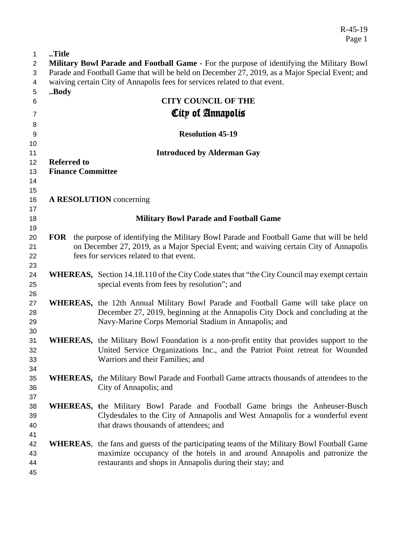R-45-19 Page 1

| 1              | Title                                                                                            |                                                                                                   |  |
|----------------|--------------------------------------------------------------------------------------------------|---------------------------------------------------------------------------------------------------|--|
| 2              | <b>Military Bowl Parade and Football Game -</b> For the purpose of identifying the Military Bowl |                                                                                                   |  |
| 3              | Parade and Football Game that will be held on December 27, 2019, as a Major Special Event; and   |                                                                                                   |  |
| 4              | waiving certain City of Annapolis fees for services related to that event.                       |                                                                                                   |  |
| 5              | Body                                                                                             |                                                                                                   |  |
| 6              |                                                                                                  | <b>CITY COUNCIL OF THE</b>                                                                        |  |
| $\overline{7}$ |                                                                                                  | City of Annapolis                                                                                 |  |
|                |                                                                                                  |                                                                                                   |  |
| 8<br>9         |                                                                                                  | <b>Resolution 45-19</b>                                                                           |  |
| 10             |                                                                                                  |                                                                                                   |  |
| 11             |                                                                                                  | <b>Introduced by Alderman Gay</b>                                                                 |  |
| 12             | <b>Referred to</b>                                                                               |                                                                                                   |  |
| 13             | <b>Finance Committee</b>                                                                         |                                                                                                   |  |
| 14             |                                                                                                  |                                                                                                   |  |
| 15             |                                                                                                  |                                                                                                   |  |
| 16             |                                                                                                  | A RESOLUTION concerning                                                                           |  |
| 17             |                                                                                                  |                                                                                                   |  |
| 18             |                                                                                                  | <b>Military Bowl Parade and Football Game</b>                                                     |  |
| 19             |                                                                                                  |                                                                                                   |  |
| 20             |                                                                                                  | FOR the purpose of identifying the Military Bowl Parade and Football Game that will be held       |  |
| 21             |                                                                                                  | on December 27, 2019, as a Major Special Event; and waiving certain City of Annapolis             |  |
| 22             |                                                                                                  | fees for services related to that event.                                                          |  |
| 23             |                                                                                                  |                                                                                                   |  |
| 24             |                                                                                                  | WHEREAS, Section 14.18.110 of the City Code states that "the City Council may exempt certain      |  |
| 25             |                                                                                                  | special events from fees by resolution"; and                                                      |  |
| 26             |                                                                                                  |                                                                                                   |  |
| 27             |                                                                                                  | <b>WHEREAS</b> , the 12th Annual Military Bowl Parade and Football Game will take place on        |  |
| 28             |                                                                                                  | December 27, 2019, beginning at the Annapolis City Dock and concluding at the                     |  |
| 29             |                                                                                                  | Navy-Marine Corps Memorial Stadium in Annapolis; and                                              |  |
| 30             |                                                                                                  |                                                                                                   |  |
| 31             |                                                                                                  | <b>WHEREAS</b> , the Military Bowl Foundation is a non-profit entity that provides support to the |  |
| 32             |                                                                                                  | United Service Organizations Inc., and the Patriot Point retreat for Wounded                      |  |
| 33             |                                                                                                  | Warriors and their Families; and                                                                  |  |
| 34             |                                                                                                  | <b>WHEREAS,</b> the Military Bowl Parade and Football Game attracts thousands of attendees to the |  |
| 35<br>36       |                                                                                                  | City of Annapolis; and                                                                            |  |
| 37             |                                                                                                  |                                                                                                   |  |
| 38             |                                                                                                  | <b>WHEREAS,</b> the Military Bowl Parade and Football Game brings the Anheuser-Busch              |  |
| 39             |                                                                                                  | Clydesdales to the City of Annapolis and West Annapolis for a wonderful event                     |  |
| 40             |                                                                                                  | that draws thousands of attendees; and                                                            |  |
| 41             |                                                                                                  |                                                                                                   |  |
| 42             |                                                                                                  | WHEREAS, the fans and guests of the participating teams of the Military Bowl Football Game        |  |
| 43             |                                                                                                  | maximize occupancy of the hotels in and around Annapolis and patronize the                        |  |
| 44             |                                                                                                  | restaurants and shops in Annapolis during their stay; and                                         |  |
| 45             |                                                                                                  |                                                                                                   |  |